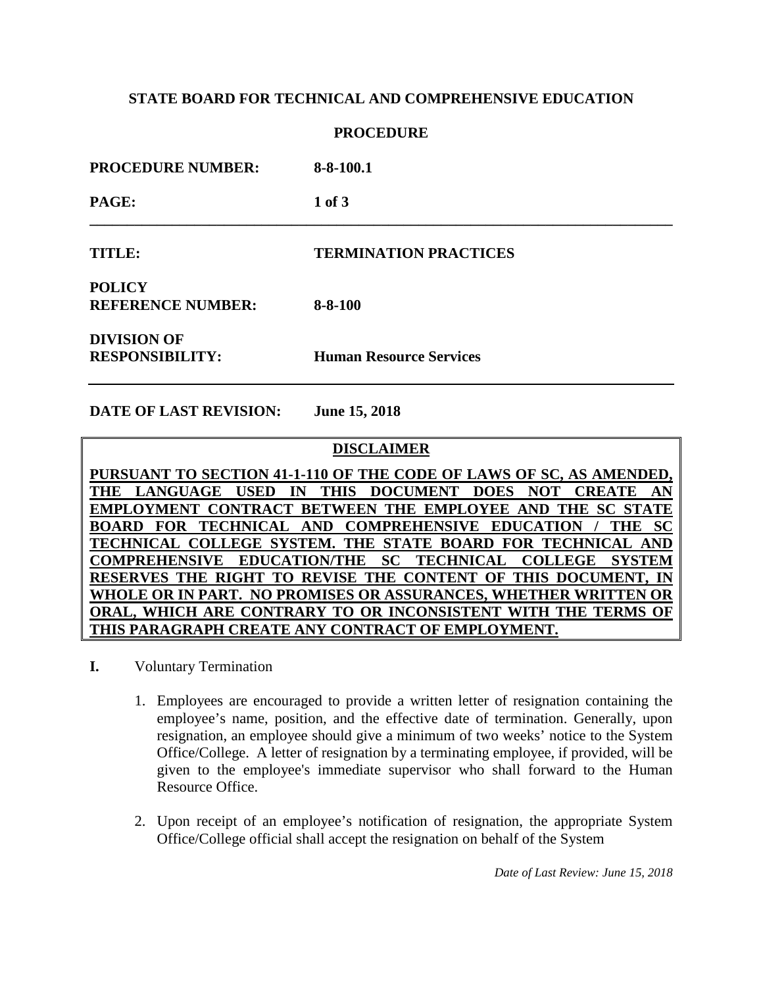### **STATE BOARD FOR TECHNICAL AND COMPREHENSIVE EDUCATION**

### **PROCEDURE**

| <b>PROCEDURE NUMBER:</b>                     | $8 - 8 - 100.1$                |
|----------------------------------------------|--------------------------------|
| PAGE:                                        | $1$ of $3$                     |
| TITLE:                                       | <b>TERMINATION PRACTICES</b>   |
| <b>POLICY</b><br><b>REFERENCE NUMBER:</b>    | $8 - 8 - 100$                  |
| <b>DIVISION OF</b><br><b>RESPONSIBILITY:</b> | <b>Human Resource Services</b> |

**DATE OF LAST REVISION: June 15, 2018**

### **DISCLAIMER**

**PURSUANT TO SECTION 41-1-110 OF THE CODE OF LAWS OF SC, AS AMENDED, THE LANGUAGE USED IN THIS DOCUMENT DOES NOT CREATE AN EMPLOYMENT CONTRACT BETWEEN THE EMPLOYEE AND THE SC STATE BOARD FOR TECHNICAL AND COMPREHENSIVE EDUCATION / THE SC TECHNICAL COLLEGE SYSTEM. THE STATE BOARD FOR TECHNICAL AND COMPREHENSIVE EDUCATION/THE SC TECHNICAL COLLEGE SYSTEM RESERVES THE RIGHT TO REVISE THE CONTENT OF THIS DOCUMENT, IN WHOLE OR IN PART. NO PROMISES OR ASSURANCES, WHETHER WRITTEN OR ORAL, WHICH ARE CONTRARY TO OR INCONSISTENT WITH THE TERMS OF THIS PARAGRAPH CREATE ANY CONTRACT OF EMPLOYMENT.**

- **I.** Voluntary Termination
	- 1. Employees are encouraged to provide a written letter of resignation containing the employee's name, position, and the effective date of termination. Generally, upon resignation, an employee should give a minimum of two weeks' notice to the System Office/College. A letter of resignation by a terminating employee, if provided, will be given to the employee's immediate supervisor who shall forward to the Human Resource Office.
	- 2. Upon receipt of an employee's notification of resignation, the appropriate System Office/College official shall accept the resignation on behalf of the System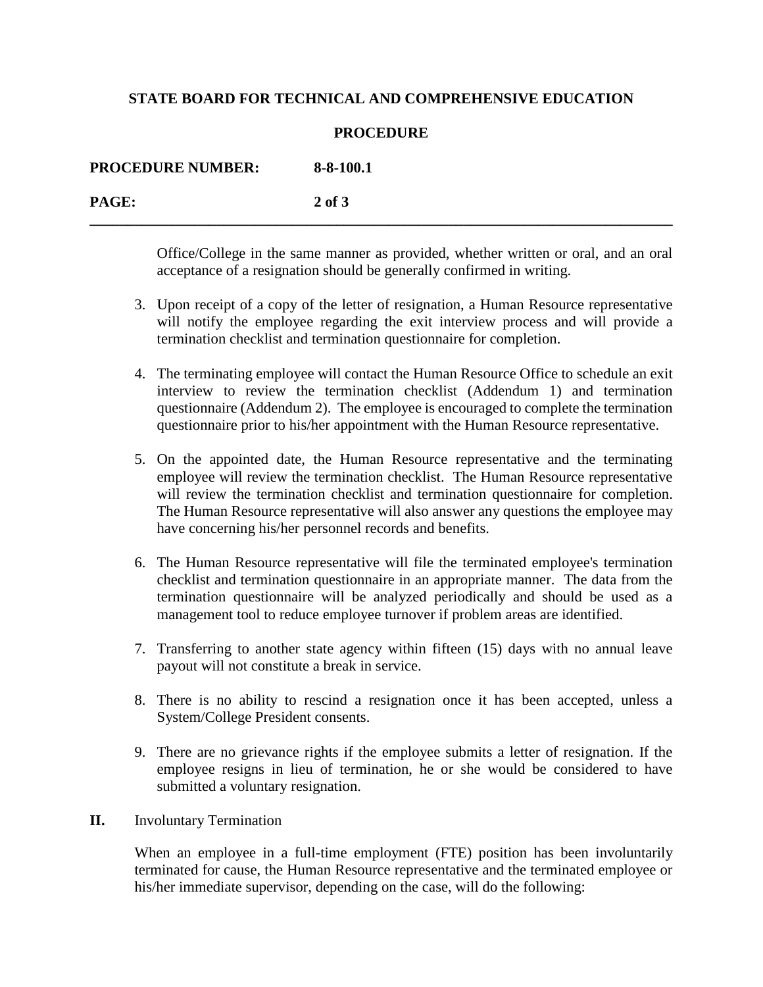### **STATE BOARD FOR TECHNICAL AND COMPREHENSIVE EDUCATION**

#### **PROCEDURE**

**\_\_\_\_\_\_\_\_\_\_\_\_\_\_\_\_\_\_\_\_\_\_\_\_\_\_\_\_\_\_\_\_\_\_\_\_\_\_\_\_\_\_\_\_\_\_\_\_\_\_\_\_\_\_\_\_\_\_\_\_\_\_\_\_\_\_\_\_\_\_\_\_\_\_\_\_\_\_**

**PROCEDURE NUMBER: 8-8-100.1 PAGE: 2 of 3**

> Office/College in the same manner as provided, whether written or oral, and an oral acceptance of a resignation should be generally confirmed in writing.

- 3. Upon receipt of a copy of the letter of resignation, a Human Resource representative will notify the employee regarding the exit interview process and will provide a termination checklist and termination questionnaire for completion.
- 4. The terminating employee will contact the Human Resource Office to schedule an exit interview to review the termination checklist (Addendum 1) and termination questionnaire (Addendum 2). The employee is encouraged to complete the termination questionnaire prior to his/her appointment with the Human Resource representative.
- 5. On the appointed date, the Human Resource representative and the terminating employee will review the termination checklist. The Human Resource representative will review the termination checklist and termination questionnaire for completion. The Human Resource representative will also answer any questions the employee may have concerning his/her personnel records and benefits.
- 6. The Human Resource representative will file the terminated employee's termination checklist and termination questionnaire in an appropriate manner. The data from the termination questionnaire will be analyzed periodically and should be used as a management tool to reduce employee turnover if problem areas are identified.
- 7. Transferring to another state agency within fifteen (15) days with no annual leave payout will not constitute a break in service.
- 8. There is no ability to rescind a resignation once it has been accepted, unless a System/College President consents.
- 9. There are no grievance rights if the employee submits a letter of resignation. If the employee resigns in lieu of termination, he or she would be considered to have submitted a voluntary resignation.
- **II.** Involuntary Termination

When an employee in a full-time employment (FTE) position has been involuntarily terminated for cause, the Human Resource representative and the terminated employee or his/her immediate supervisor, depending on the case, will do the following: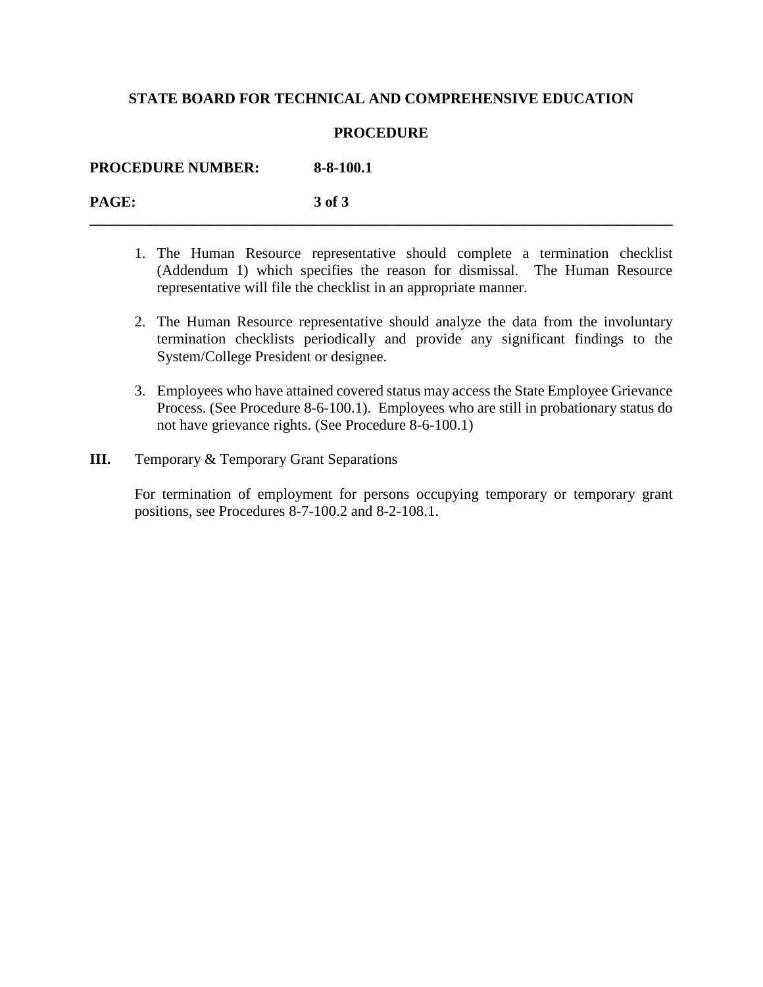### **STATE BOARD FOR TECHNICAL AND COMPREHENSIVE EDUCATION**

#### **PROCEDURE**

**PROCEDURE NUMBER: 8-8-100.1**

**PAGE: 3 of 3 \_\_\_\_\_\_\_\_\_\_\_\_\_\_\_\_\_\_\_\_\_\_\_\_\_\_\_\_\_\_\_\_\_\_\_\_\_\_\_\_\_\_\_\_\_\_\_\_\_\_\_\_\_\_\_\_\_\_\_\_\_\_\_\_\_\_\_\_\_\_\_\_\_\_\_\_\_\_**

- 1. The Human Resource representative should complete a termination checklist (Addendum 1) which specifies the reason for dismissal. The Human Resource representative will file the checklist in an appropriate manner.
- 2. The Human Resource representative should analyze the data from the involuntary termination checklists periodically and provide any significant findings to the System/College President or designee.
- 3. Employees who have attained covered status may access the State Employee Grievance Process. (See Procedure 8-6-100.1). Employees who are still in probationary status do not have grievance rights. (See Procedure 8-6-100.1)
- **III.** Temporary & Temporary Grant Separations

For termination of employment for persons occupying temporary or temporary grant positions, see Procedures 8-7-100.2 and 8-2-108.1.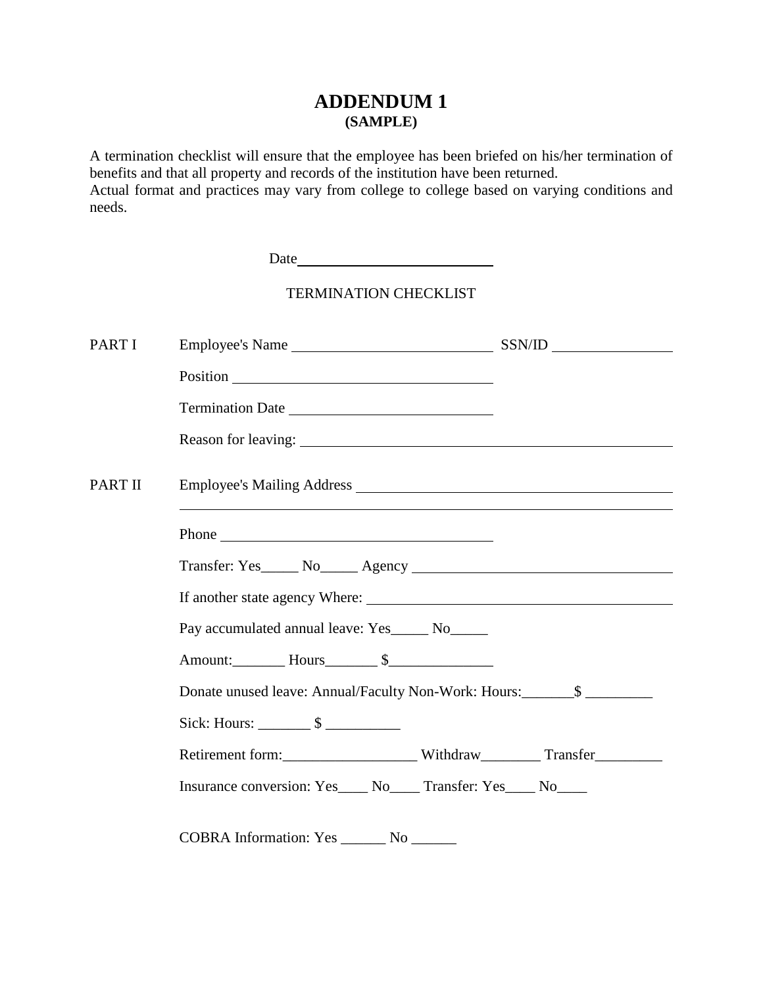# **ADDENDUM 1 (SAMPLE)**

A termination checklist will ensure that the employee has been briefed on his/her termination of benefits and that all property and records of the institution have been returned. Actual format and practices may vary from college to college based on varying conditions and needs.

|         | <b>TERMINATION CHECKLIST</b>                                                                                                                                                                                                         |  |
|---------|--------------------------------------------------------------------------------------------------------------------------------------------------------------------------------------------------------------------------------------|--|
| PART I  |                                                                                                                                                                                                                                      |  |
|         |                                                                                                                                                                                                                                      |  |
|         | Termination Date                                                                                                                                                                                                                     |  |
|         |                                                                                                                                                                                                                                      |  |
| PART II |                                                                                                                                                                                                                                      |  |
|         | Phone <u>and the set of the set of the set of the set of the set of the set of the set of the set of the set of the set of the set of the set of the set of the set of the set of the set of the set of the set of the set of th</u> |  |
|         |                                                                                                                                                                                                                                      |  |
|         |                                                                                                                                                                                                                                      |  |
|         | Pay accumulated annual leave: Yes ______ No______                                                                                                                                                                                    |  |
|         | Amount: Hours \$                                                                                                                                                                                                                     |  |
|         | Donate unused leave: Annual/Faculty Non-Work: Hours:_____________________________                                                                                                                                                    |  |
|         | Sick: Hours: $\frac{\ }{}$ $\frac{\ }{s}$                                                                                                                                                                                            |  |
|         |                                                                                                                                                                                                                                      |  |
|         | Insurance conversion: Yes____ No____ Transfer: Yes____ No____                                                                                                                                                                        |  |
|         | COBRA Information: Yes _______ No ______                                                                                                                                                                                             |  |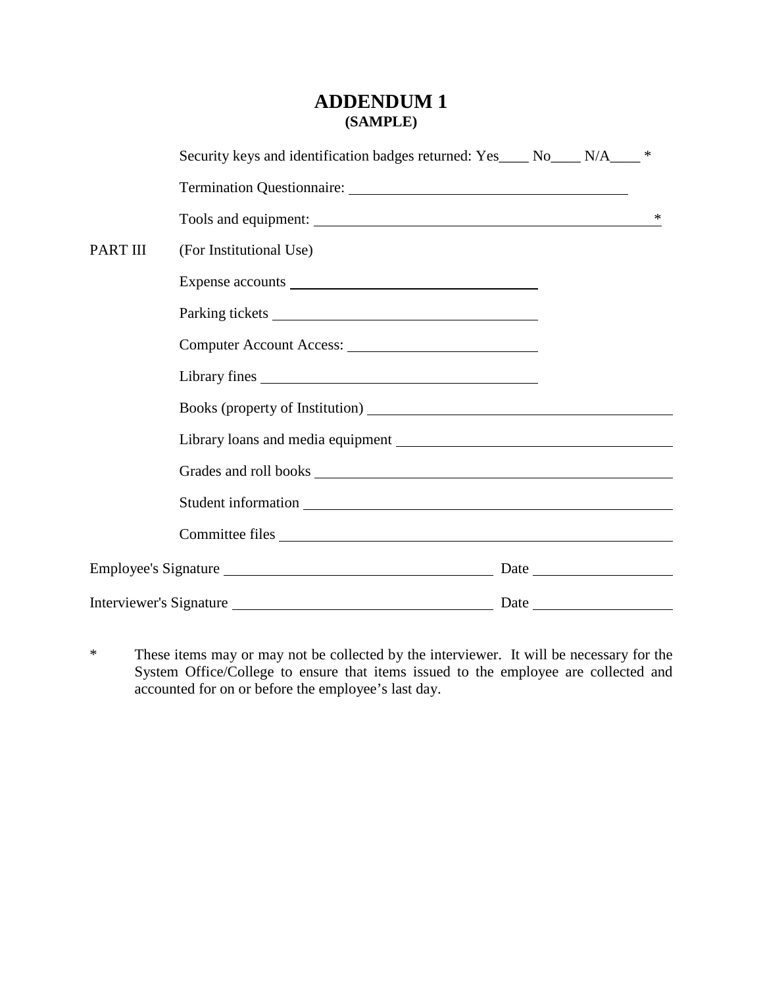## **ADDENDUM 1 (SAMPLE)**

|                         | Security keys and identification badges returned: Yes____ No____ N/A___ * |  |   |
|-------------------------|---------------------------------------------------------------------------|--|---|
|                         |                                                                           |  |   |
|                         |                                                                           |  | ∗ |
| PART III                | (For Institutional Use)                                                   |  |   |
|                         |                                                                           |  |   |
|                         |                                                                           |  |   |
|                         |                                                                           |  |   |
|                         |                                                                           |  |   |
|                         |                                                                           |  |   |
|                         |                                                                           |  |   |
|                         |                                                                           |  |   |
|                         |                                                                           |  |   |
|                         | Committee files                                                           |  |   |
|                         |                                                                           |  |   |
| Interviewer's Signature |                                                                           |  |   |

\* These items may or may not be collected by the interviewer. It will be necessary for the System Office/College to ensure that items issued to the employee are collected and accounted for on or before the employee's last day.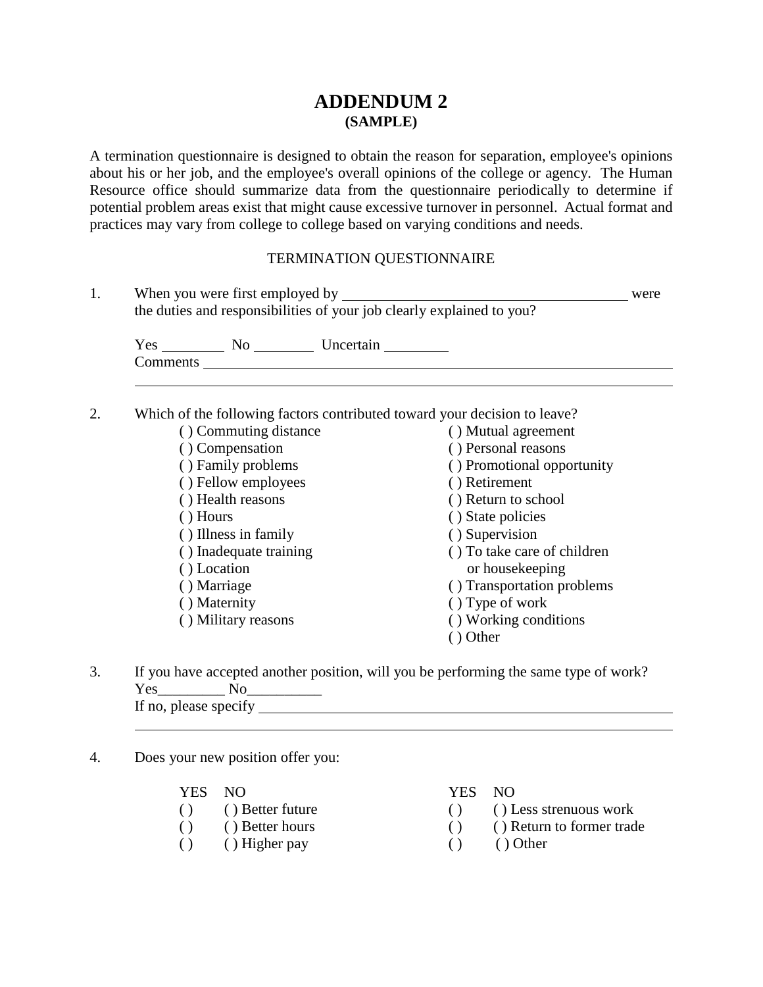## **ADDENDUM 2 (SAMPLE)**

A termination questionnaire is designed to obtain the reason for separation, employee's opinions about his or her job, and the employee's overall opinions of the college or agency. The Human Resource office should summarize data from the questionnaire periodically to determine if potential problem areas exist that might cause excessive turnover in personnel. Actual format and practices may vary from college to college based on varying conditions and needs.

### TERMINATION QUESTIONNAIRE

| the duties and responsibilities of your job clearly explained to you?     |                             |  |  |
|---------------------------------------------------------------------------|-----------------------------|--|--|
|                                                                           |                             |  |  |
|                                                                           |                             |  |  |
| Which of the following factors contributed toward your decision to leave? |                             |  |  |
| () Commuting distance                                                     | () Mutual agreement         |  |  |
| () Compensation                                                           | () Personal reasons         |  |  |
| () Family problems                                                        | () Promotional opportunity  |  |  |
| () Fellow employees                                                       | () Retirement               |  |  |
| () Health reasons                                                         | () Return to school         |  |  |
| () Hours                                                                  | () State policies           |  |  |
| () Illness in family                                                      | () Supervision              |  |  |
| () Inadequate training                                                    | () To take care of children |  |  |
| () Location                                                               | or housekeeping             |  |  |
| () Marriage                                                               | () Transportation problems  |  |  |
| () Maternity                                                              | () Type of work             |  |  |

- ( ) Military reasons ( ) Working conditions
	- ( ) Other
	-
- 3. If you have accepted another position, will you be performing the same type of work?  $Yes$  No If no, please specify
- 4. Does your new position offer you:

| YES NO                 |                     | YES NO                                          |                 |
|------------------------|---------------------|-------------------------------------------------|-----------------|
|                        | () () Better future |                                                 | $()$ () Less st |
| ( )                    | () Better hours     | $\left( \begin{array}{ccc} \end{array} \right)$ | () Return       |
| $\left( \quad \right)$ | $( )$ Higher pay    | $\left( \begin{array}{ccc} \end{array} \right)$ | () Other        |

#### YES NO YES NO

- ( ) ( ) Less strenuous work
	- $( )$  ( ) Return to former trade
		-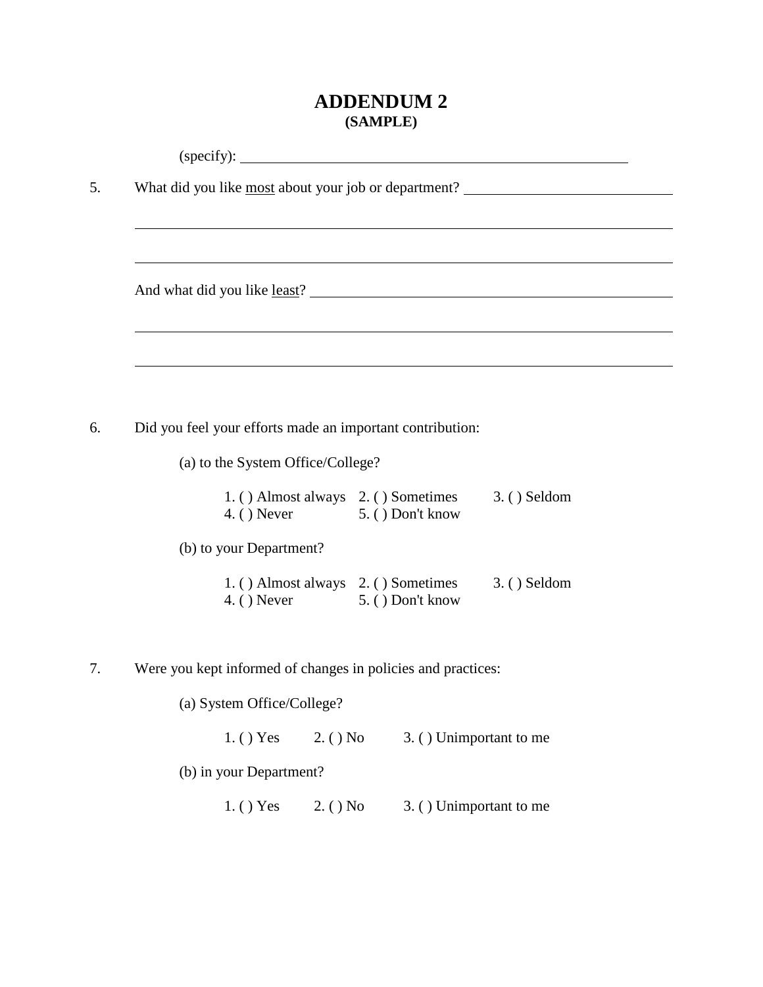# **ADDENDUM 2 (SAMPLE)**

|                                   |                                                                     | What did you like most about your job or department? ___________________________ |
|-----------------------------------|---------------------------------------------------------------------|----------------------------------------------------------------------------------|
|                                   |                                                                     |                                                                                  |
|                                   |                                                                     |                                                                                  |
|                                   |                                                                     |                                                                                  |
|                                   |                                                                     |                                                                                  |
|                                   |                                                                     |                                                                                  |
|                                   | Did you feel your efforts made an important contribution:           |                                                                                  |
| (a) to the System Office/College? |                                                                     |                                                                                  |
|                                   | 1. () Almost always 2. () Sometimes<br>4. () Never 5. () Don't know | 3. () Seldom                                                                     |
| (b) to your Department?           |                                                                     |                                                                                  |
|                                   | 1. () Almost always 2. () Sometimes<br>4. () Never 5. () Don't know | 3. () Seldom                                                                     |
|                                   |                                                                     |                                                                                  |
|                                   | Were you kept informed of changes in policies and practices:        |                                                                                  |
| (a) System Office/College?        |                                                                     |                                                                                  |
| $1.$ ( ) Yes                      | 2. ( ) No                                                           | 3. () Unimportant to me                                                          |
|                                   |                                                                     |                                                                                  |
| (b) in your Department?           |                                                                     |                                                                                  |